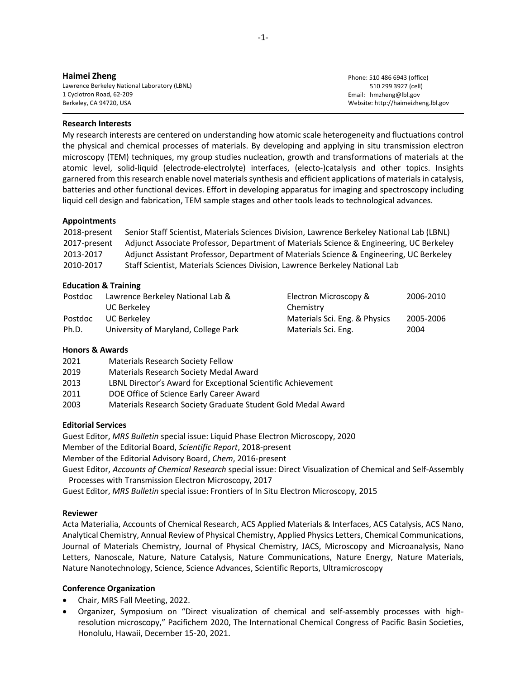Phone: 510 486 6943 (office) 510 299 3927 (cell) Email: hmzheng@lbl.gov Website: http://haimeizheng.lbl.gov

#### **Research Interests**

My research interests are centered on understanding how atomic scale heterogeneity and fluctuations control the physical and chemical processes of materials. By developing and applying in situ transmission electron microscopy (TEM) techniques, my group studies nucleation, growth and transformations of materials at the atomic level, solid-liquid (electrode-electrolyte) interfaces, (electo-)catalysis and other topics. Insights garnered from this research enable novel materials synthesis and efficient applications of materials in catalysis, batteries and other functional devices. Effort in developing apparatus for imaging and spectroscopy including liquid cell design and fabrication, TEM sample stages and other tools leads to technological advances.

#### **Appointments**

| 2018-present | Senior Staff Scientist, Materials Sciences Division, Lawrence Berkeley National Lab (LBNL) |
|--------------|--------------------------------------------------------------------------------------------|
| 2017-present | Adjunct Associate Professor, Department of Materials Science & Engineering, UC Berkeley    |
| 2013-2017    | Adjunct Assistant Professor, Department of Materials Science & Engineering, UC Berkeley    |
| 2010-2017    | Staff Scientist, Materials Sciences Division, Lawrence Berkeley National Lab               |

### **Education & Training**

| Postdoc | Lawrence Berkeley National Lab &     | Electron Microscopy &         | 2006-2010 |
|---------|--------------------------------------|-------------------------------|-----------|
|         | UC Berkeley                          | Chemistry                     |           |
| Postdoc | UC Berkeley                          | Materials Sci. Eng. & Physics | 2005-2006 |
| Ph.D.   | University of Maryland, College Park | Materials Sci. Eng.           | 2004      |

## **Honors & Awards**

| 2021 | <b>Materials Research Society Fellow</b>                     |
|------|--------------------------------------------------------------|
| 2019 | Materials Research Society Medal Award                       |
| 2013 | LBNL Director's Award for Exceptional Scientific Achievement |
| 2011 | DOE Office of Science Early Career Award                     |
| 2003 | Materials Research Society Graduate Student Gold Medal Award |

## **Editorial Services**

Guest Editor, *MRS Bulletin* special issue: Liquid Phase Electron Microscopy, 2020 Member of the Editorial Board, *Scientific Report*, 2018-present

Member of the Editorial Advisory Board, *Chem*, 2016-present

Guest Editor, *Accounts of Chemical Research* special issue: Direct Visualization of Chemical and Self-Assembly Processes with Transmission Electron Microscopy, 2017

Guest Editor, *MRS Bulletin* special issue: Frontiers of In Situ Electron Microscopy, 2015

#### **Reviewer**

Acta Materialia, Accounts of Chemical Research, ACS Applied Materials & Interfaces, ACS Catalysis, ACS Nano, Analytical Chemistry, Annual Review of Physical Chemistry, Applied Physics Letters, Chemical Communications, Journal of Materials Chemistry, Journal of Physical Chemistry, JACS, Microscopy and Microanalysis, Nano Letters, Nanoscale, Nature, Nature Catalysis, Nature Communications, Nature Energy, Nature Materials, Nature Nanotechnology, Science, Science Advances, Scientific Reports, Ultramicroscopy

## **Conference Organization**

- Chair, MRS Fall Meeting, 2022.
- Organizer, Symposium on "Direct visualization of chemical and self-assembly processes with highresolution microscopy," Pacifichem 2020, The International Chemical Congress of Pacific Basin Societies, Honolulu, Hawaii, December 15-20, 2021.